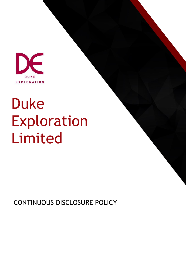

# Duke Exploration Limited

CONTINUOUS DISCLOSURE POLICY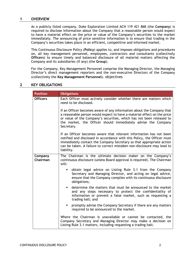# **1 OVERVIEW**

As a publicly listed company, Duke Exploration Limited ACN 119 421 868 (the **Company**) is required to disclose information about the Company that a reasonable person would expect to have a material effect on the price or value of the Company's securities to the market immediately. The announcing of price sensitive information is to ensure that trading in the Company's securities takes place in an efficient, competitive and informed market.

This Continuous Disclosure Policy (**Policy**) applies to, and imposes obligations and procedures on, all key management personnel, employees, contractors and consultants (collectively **Officers**) to ensure timely and balanced disclosure of all material matters affecting the Company and its subsidiaries (if any) (the **Group**).

For the Company, Key Management Personnel comprise the Managing Director, the Managing Director's direct management reporters and the non-executive Directors of the Company (collectively the **Key Management Personnel**). objectives

# **2 KEY OBLIGATIONS**

| <b>Position</b>     | <b>Obligations</b>                                                                                                                                                                                                                                                                                            |
|---------------------|---------------------------------------------------------------------------------------------------------------------------------------------------------------------------------------------------------------------------------------------------------------------------------------------------------------|
| <b>Officers</b>     | Each Officer must actively consider whether there are matters which<br>need to be disclosed.                                                                                                                                                                                                                  |
|                     | If an Officer becomes aware of any information about the Company that<br>a reasonable person would expect to have a material effect on the price<br>or value of the Company's securities, which has not been released to<br>the market, the Officer should immediately advise the Company<br>Secretary.       |
|                     | If an Officer becomes aware that relevant information has not been<br>notified and disclosed in accordance with this Policy, the Officer must<br>immediately contact the Company Secretary so that appropriate action<br>can be taken. A failure to correct mistaken non-disclosure may lead to<br>liability. |
| Company<br>Chairman | The Chairman is the ultimate decision maker on the Company's<br>continuous disclosure (unless Board approval is required). The Chairman<br>will:                                                                                                                                                              |
|                     | obtain legal advice on Listing Rule 3.1 from the Company<br>Secretary and Managing Director, and acting on legal advice,<br>ensure that the Company complies with its continuous disclosure<br>obligations;                                                                                                   |
|                     | determine the matters that must be announced to the market<br>٠<br>and any steps necessary to protect the confidentiality of<br>information or prevent a false market, such as requesting a<br>trading halt; and                                                                                              |
|                     | promptly advise the Company Secretary if there are any matters<br>$\blacksquare$<br>required to be announced to the market.                                                                                                                                                                                   |
|                     | Where the Chairman is unavailable or cannot be contacted, the<br>Company Secretary and Managing Director may make a decision on<br>Listing Rule 3.1 matters, including requesting a trading halt.                                                                                                             |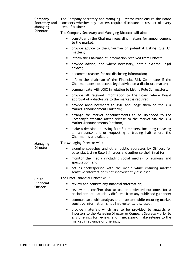| Company<br>Secretary and<br>Managing<br><b>Director</b> | The Company Secretary and Managing Director must ensure the Board<br>considers whether any matters require disclosure in respect of every<br>item of business.                                                                           |
|---------------------------------------------------------|------------------------------------------------------------------------------------------------------------------------------------------------------------------------------------------------------------------------------------------|
|                                                         | The Company Secretary and Managing Director will also:                                                                                                                                                                                   |
|                                                         | consult with the Chairman regarding matters for announcement<br>٠<br>to the market:                                                                                                                                                      |
|                                                         | provide advice to the Chairman on potential Listing Rule 3.1<br>٠<br>matters;                                                                                                                                                            |
|                                                         | inform the Chairman of information received from Officers;<br>٠                                                                                                                                                                          |
|                                                         | provide advice, and where necessary, obtain external legal<br>٠<br>advice;                                                                                                                                                               |
|                                                         | document reasons for not disclosing information;<br>٠                                                                                                                                                                                    |
|                                                         | inform the chairman of the Financial Risk Committee if the<br>٠<br>Chairman does not accept legal advice on a disclosure matter;                                                                                                         |
|                                                         | communicate with ASIC in relation to Listing Rule 3.1 matters;<br>٠                                                                                                                                                                      |
|                                                         | provide all relevant information to the Board where Board<br>٠<br>approval of a disclosure to the market is required;                                                                                                                    |
|                                                         | provide announcements to ASIC and lodge them on the ASX<br>٠<br>Market Announcement Platform;                                                                                                                                            |
|                                                         | arrange for market announcements to be uploaded to the<br>٠<br>Company's website (after release to the market via the ASX<br>Market Announcements Platform);                                                                             |
|                                                         | make a decision on Listing Rule 3.1 matters, including releasing<br>٠<br>an announcement or requesting a trading halt where the<br>Chairman is unavailable.                                                                              |
| Managing                                                | The Managing Director will:                                                                                                                                                                                                              |
| <b>Director</b>                                         | examine speeches and other public addresses by Officers for<br>٠<br>potential Listing Rule 3.1 issues and authorise their final form;                                                                                                    |
|                                                         | monitor the media (including social media) for rumours and<br>п<br>speculation; and                                                                                                                                                      |
|                                                         | act as spokesperson with the media while ensuring market<br>٠<br>sensitive information is not inadvertently disclosed.                                                                                                                   |
| <b>Chief</b>                                            | The Chief Financial Officer will:                                                                                                                                                                                                        |
| Financial<br><b>Officer</b>                             | review and confirm any financial information;<br>п                                                                                                                                                                                       |
|                                                         | review and confirm that actual or projected outcomes for a<br>٠<br>period are not materially different from any published guidance;                                                                                                      |
|                                                         | communicate with analysts and investors while ensuring market<br>٠<br>sensitive information is not inadvertently disclosed;                                                                                                              |
|                                                         | provide materials which are to be provided to analysts or<br>٠<br>investors to the Managing Director or Company Secretary prior to<br>any briefings for review, and if necessary, make release to the<br>market in advance of briefings; |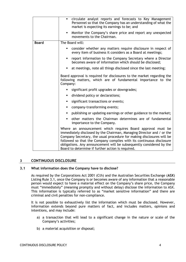|              | circulate analyst reports and forecasts to Key Management<br>٠<br>Personnel so that the Company has an understanding of what the<br>market is expecting its earnings to be; and                                                                                                                                                                                                                                    |
|--------------|--------------------------------------------------------------------------------------------------------------------------------------------------------------------------------------------------------------------------------------------------------------------------------------------------------------------------------------------------------------------------------------------------------------------|
|              | Monitor the Company's share price and report any unexpected<br>٠<br>movements to the Chairman.                                                                                                                                                                                                                                                                                                                     |
| <b>Board</b> | The Board will:                                                                                                                                                                                                                                                                                                                                                                                                    |
|              | consider whether any matters require disclosure in respect of<br>٠<br>every item of business it considers as a Board at meetings;                                                                                                                                                                                                                                                                                  |
|              | report information to the Company Secretary where a Director<br>٠<br>becomes aware of information which should be disclosed;                                                                                                                                                                                                                                                                                       |
|              | at meetings, note all things disclosed since the last meeting;<br>٠                                                                                                                                                                                                                                                                                                                                                |
|              | Board approval is required for disclosures to the market regarding the<br>following matters, which are of fundamental importance to the<br>Company:                                                                                                                                                                                                                                                                |
|              | significant profit upgrades or downgrades;<br>٠                                                                                                                                                                                                                                                                                                                                                                    |
|              | dividend policy or declarations;<br>٠                                                                                                                                                                                                                                                                                                                                                                              |
|              | significant transactions or events;<br>٠                                                                                                                                                                                                                                                                                                                                                                           |
|              | company-transforming events;<br>٠                                                                                                                                                                                                                                                                                                                                                                                  |
|              | publishing or updating earnings or other guidance to the market;<br>٠                                                                                                                                                                                                                                                                                                                                              |
|              | other matters the Chairman determines are of fundamental<br>٠<br>importance to the Company.                                                                                                                                                                                                                                                                                                                        |
|              | Where an announcement which requires Board approval must be<br>immediately disclosed by the Chairman, Managing Director and / or the<br>Company Secretary, the usual procedure for making disclosures will be<br>followed so that the Company complies with its continuous disclosure<br>obligations. Any announcement will be subsequently considered by the<br>Board to determine if further action is required. |

# **3 CONTINUOUS DISCLOSURE**

#### **3.1 What information does the Company have to disclose?**

As required by the Corporations Act 2001 (Cth) and the Australian Securities Exchange (**ASX**) Listing Rule 3.1, once the Company is or becomes aware of any information that a reasonable person would expect to have a material effect on the Company's share price, the Company must "immediately" (meaning promptly and without delay) disclose the information to ASX. This information is typically referred to as "market sensitive information" and there are criminal and civil penalties for non-compliance.

It is not possible to exhaustively list the information which must be disclosed. However, information extends beyond pure matters of fact, and includes matters, opinions and intentions, and may include:

- a) a transaction that will lead to a significant change in the nature or scale of the Company's activities;
- b) a material acquisition or disposal;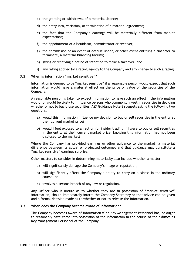- c) the granting or withdrawal of a material licence;
- d) the entry into, variation, or termination of a material agreement;
- e) the fact that the Company's earnings will be materially different from market expectations;
- f) the appointment of a liquidator, administrator or receiver;
- g) the commission of an event of default under, or other event entitling a financier to terminate, a material financing facility;
- h) giving or receiving a notice of intention to make a takeover; and
- i) any rating applied by a rating agency to the Company and any change to such a rating.

#### **3.2 When is information "market sensitive"?**

Information is deemed to be "market sensitive" if a reasonable person would expect that such information would have a material effect on the price or value of the securities of the Company.

A reasonable person is taken to expect information to have such an effect if the information would, or would be likely to, influence persons who commonly invest in securities in deciding whether or not to buy those securities. ASX Guidance Note 8 suggests asking the following two questions:

- a) would this information influence my decision to buy or sell securities in the entity at their current market price?
- b) would I feel exposed to an action for insider trading if I were to buy or sell securities in the entity at their current market price, knowing this information had not been disclosed to the market?

Where the Company has provided earnings or other guidance to the market, a material difference between its actual or projected outcomes and that guidance may constitute a "market sensitive" earnings surprise.

Other matters to consider in determining materiality also include whether a matter:

- a) will significantly damage the Company's image or reputation;
- b) will significantly affect the Company's ability to carry on business in the ordinary course; or
- c) involves a serious breach of any law or regulation.

Any Officer who is unsure as to whether they are in possession of "market sensitive" information, should immediately inform the Company Secretary so that advice can be given and a formal decision made as to whether or not to release the information.

#### **3.3 When does the Company become aware of information?**

The Company becomes aware of information if an Key Management Personnel has, or ought to reasonably have come into possession of the information in the course of their duties as Key Management Personnel of the Company.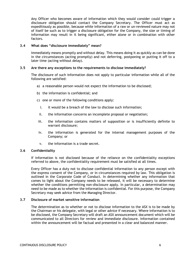Any Officer who becomes aware of information which they would consider could trigger a disclosure obligation should contact the Company Secretary. The Officer must act as expeditiously as possible, because while information of a raw or un-reviewed nature may not of itself be such as to trigger a disclosure obligation for the Company, the size or timing of information may result in it being significant, either alone or in combination with other factors.

# **3.4 What does "disclosure immediately" mean?**

Immediately means promptly and without delay. This means doing it as quickly as can be done in the circumstances (acting promptly) and not deferring, postponing or putting it off to a later time (acting without delay).

# **3.5 Are there any exceptions to the requirements to disclose immediately?**

The disclosure of such information does not apply to particular information while all of the following are satisfied:

- a) a reasonable person would not expect the information to be disclosed;
- b) the information is confidential; and
- c) one or more of the following conditions apply:
	- i. it would be a breach of the law to disclose such information;
	- ii. the information concerns an incomplete proposal or negotiation;
- iii. the information contains matters of supposition or is insufficiently definite to warrant disclosure;
- iv. the information is generated for the internal management purposes of the Company; or
- v. the information is a trade secret.

# **3.6 Confidentiality**

If information is not disclosed because of the reliance on the confidentiality exceptions referred to above, the confidentiality requirement must be satisfied at all times.

Every Officer has a duty not to disclose confidential information to any person except with the express consent of the Company, or in circumstances required by law. This obligation is outlined in the Corporate Code of Conduct. In determining whether any information that comes to light about the Company needs to be released, it will be necessary to determine whether the conditions permitting non-disclosure apply. In particular, a determination may need to be made as to whether the information is confidential. For this purpose, the Company Secretary may seek advice from the Managing Director.

# **3.7 Disclosure of market sensitive information**

The determination as to whether or not to disclose information to the ASX is to be made by the Chairman or his delegate, with legal or other advice if necessary. Where information is to be disclosed, the Company Secretary will draft an ASX announcement document which will be communicated to all Directors for review and immediate disclosure. Information contained within the announcement will be factual and presented in a clear and balanced manner.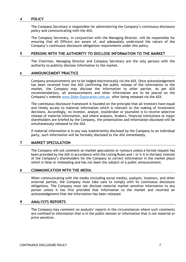# **4 POLICY**

The Company Secretary is responsible for administering the Company's continuous disclosure policy and communicating with the ASX.

The Company Secretary, in conjunction with the Managing Director, will be responsible for ensuring that all Officers are aware of, and adequately understand the nature of the Company's continuous disclosure obligations requirements under this policy.

#### **5 PERSONS WITH THE AUTHORITY TO DISCLOSE INFORMATION TO THE MARKET**

The Chairman, Managing Director and Company Secretary are the only persons with the authority to publicly disclose information to the market.

#### **6 ANNOUNCEMENT PRACTICE**

Company announcements are to be lodged electronically via the ASX. Once acknowledgement has been received from the ASX confirming the public release of the information to the market, the Company may disclose the information to other parties. As per ASX recommendations, all announcements and other information are to be placed on the Company's website [www.Duke-Exploration.com.au](http://www.duke-exploration.com.au/) after being released via the ASX.

The continuous disclosure framework is founded on the principle that all investors have equal and timely access to material information which is relevant to the making of investment decisions. Accordingly, no investor, analyst, stockbroker or journalist is to receive selective release of material information, and where analysts, brokers, financial institutions or major shareholders are briefed by the Company, the presentation and information disclosed will be simultaneously released to the ASX.

If material information is in any way inadvertently disclosed by the Company to an individual party, such information will be formally disclosed to the ASX immediately.

# **7 MARKET SPECULATION**

The Company will not comment on market speculation or rumours unless a formal request has been provided by the ASX in accordance with the Listing Rules and / or it is in the best interest of the Company's shareholders for the Company to correct information in the market place which is false or misleading and has not been the subject of a public announcement.

#### **8 COMMUNICATION WITH THE MEDIA**

When communicating with the media (including social media), analysts, investors, and other external parties, the Company must take care to comply with its continuous disclosure obligations. The Company must not disclose material market sensitive information to any person unless it has first provided that information to the market and received an acknowledgement that the information has been released.

#### **9 ANALYSTS REPORTS**

The Company may comment on analysts' reports in the circumstances where such comments are confined to information that is in the public domain or information that is not material or price sensitive.